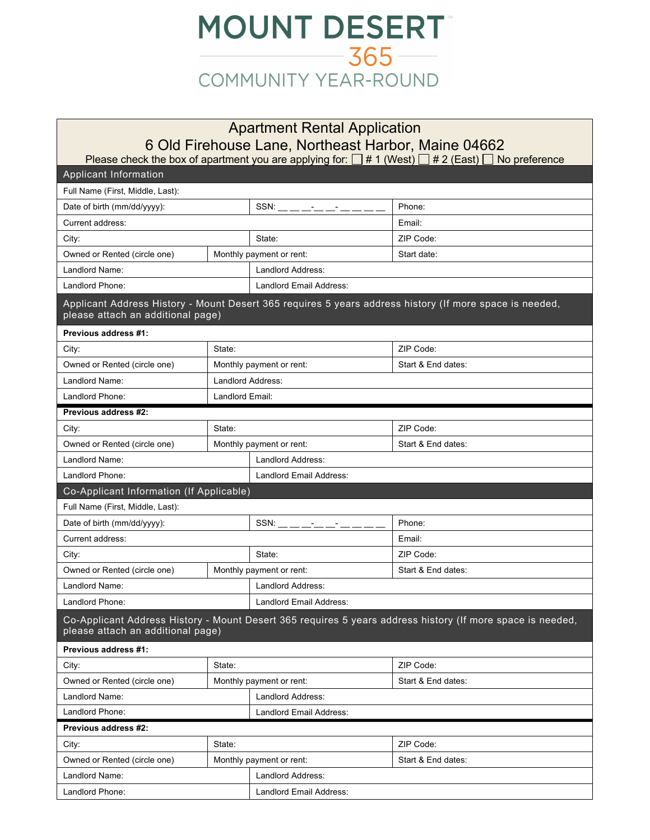

## Apartment Rental Application 6 Old Firehouse Lane, Northeast Harbor, Maine 04662

Please check the box of apartment you are applying for:  $\Box$  # 1 (West)  $\Box$  # 2 (East)  $\Box$  No preference

| <b>Applicant Information</b>             |                          |                                |                                                                                                            |  |  |  |
|------------------------------------------|--------------------------|--------------------------------|------------------------------------------------------------------------------------------------------------|--|--|--|
| Full Name (First, Middle, Last):         |                          |                                |                                                                                                            |  |  |  |
| Date of birth (mm/dd/yyyy):              |                          | $SSN:$ __ __ __ __ __ __ __ __ | Phone:                                                                                                     |  |  |  |
| Current address:                         |                          |                                | Email:                                                                                                     |  |  |  |
| City:                                    |                          | State:                         | ZIP Code:                                                                                                  |  |  |  |
| Owned or Rented (circle one)             |                          | Monthly payment or rent:       | Start date:                                                                                                |  |  |  |
| Landlord Name:                           |                          | <b>Landlord Address:</b>       |                                                                                                            |  |  |  |
| Landlord Phone:                          |                          | Landlord Email Address:        |                                                                                                            |  |  |  |
| please attach an additional page)        |                          |                                | Applicant Address History - Mount Desert 365 requires 5 years address history (If more space is needed,    |  |  |  |
| Previous address #1:                     |                          |                                |                                                                                                            |  |  |  |
| City:                                    | State:                   |                                | ZIP Code:                                                                                                  |  |  |  |
| Owned or Rented (circle one)             |                          | Monthly payment or rent:       | Start & End dates:                                                                                         |  |  |  |
| Landlord Name:                           | Landlord Address:        |                                |                                                                                                            |  |  |  |
| Landlord Phone:                          | Landlord Email:          |                                |                                                                                                            |  |  |  |
| Previous address #2:                     |                          |                                |                                                                                                            |  |  |  |
| City:                                    | State:                   |                                | ZIP Code:                                                                                                  |  |  |  |
| Owned or Rented (circle one)             |                          | Monthly payment or rent:       | Start & End dates:                                                                                         |  |  |  |
| Landlord Name:                           |                          | <b>Landlord Address:</b>       |                                                                                                            |  |  |  |
| Landlord Phone:                          |                          | Landlord Email Address:        |                                                                                                            |  |  |  |
| Co-Applicant Information (If Applicable) |                          |                                |                                                                                                            |  |  |  |
| Full Name (First, Middle, Last):         |                          |                                |                                                                                                            |  |  |  |
| Date of birth (mm/dd/yyyy):              |                          | $SSN:$ __ __ __ __ __ __ __    | Phone:                                                                                                     |  |  |  |
| Current address:                         |                          |                                | Email:                                                                                                     |  |  |  |
| City:                                    |                          | State:                         | ZIP Code:                                                                                                  |  |  |  |
| Owned or Rented (circle one)             |                          | Monthly payment or rent:       | Start & End dates:                                                                                         |  |  |  |
| Landlord Name:                           |                          | Landlord Address:              |                                                                                                            |  |  |  |
| Landlord Phone:                          |                          | Landlord Email Address:        |                                                                                                            |  |  |  |
| please attach an additional page)        |                          |                                | Co-Applicant Address History - Mount Desert 365 requires 5 years address history (If more space is needed, |  |  |  |
| Previous address #1:                     |                          |                                |                                                                                                            |  |  |  |
| City:                                    | State:                   |                                | ZIP Code:                                                                                                  |  |  |  |
| Owned or Rented (circle one)             | Monthly payment or rent: |                                | Start & End dates:                                                                                         |  |  |  |
| Landlord Name:<br>Landlord Address:      |                          |                                |                                                                                                            |  |  |  |
| Landlord Phone:                          |                          | Landlord Email Address:        |                                                                                                            |  |  |  |
| Previous address #2:                     |                          |                                |                                                                                                            |  |  |  |
| City:                                    | State:                   |                                | ZIP Code:                                                                                                  |  |  |  |
| Owned or Rented (circle one)             |                          | Monthly payment or rent:       | Start & End dates:                                                                                         |  |  |  |
| Landlord Name:                           |                          | Landlord Address:              |                                                                                                            |  |  |  |
| Landlord Phone:                          |                          | Landlord Email Address:        |                                                                                                            |  |  |  |